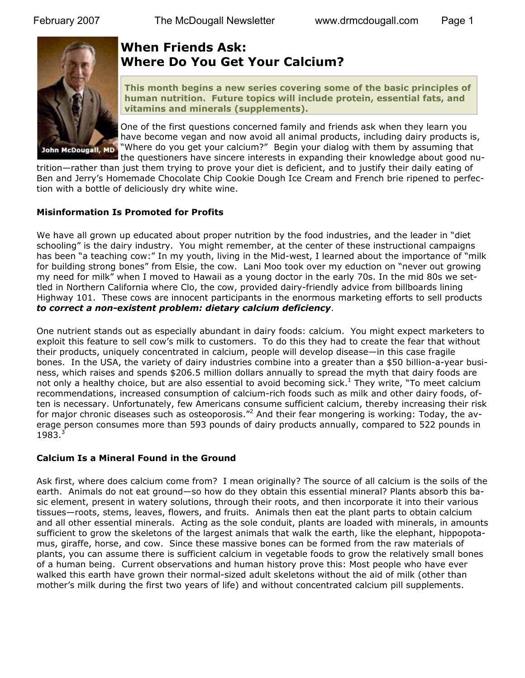

# **When Friends Ask: Where Do You Get Your Calcium?**

**This month begins a new series covering some of the basic principles of human nutrition. Future topics will include protein, essential fats, and vitamins and minerals (supplements).**

One of the first questions concerned family and friends ask when they learn you have become vegan and now avoid all animal products, including dairy products is, "Where do you get your calcium?" Begin your dialog with them by assuming that the questioners have sincere interests in expanding their knowledge about good nu-

trition—rather than just them trying to prove your diet is deficient, and to justify their daily eating of Ben and Jerry's Homemade Chocolate Chip Cookie Dough Ice Cream and French brie ripened to perfection with a bottle of deliciously dry white wine.

### **Misinformation Is Promoted for Profits**

We have all grown up educated about proper nutrition by the food industries, and the leader in "diet schooling" is the dairy industry. You might remember, at the center of these instructional campaigns has been "a teaching cow:" In my youth, living in the Mid-west, I learned about the importance of "milk" for building strong bones" from Elsie, the cow. Lani Moo took over my eduction on "never out growing my need for milk" when I moved to Hawaii as a young doctor in the early 70s. In the mid 80s we settled in Northern California where Clo, the cow, provided dairy-friendly advice from billboards lining Highway 101. These cows are innocent participants in the enormous marketing efforts to sell products *to correct a non-existent problem: dietary calcium deficiency*.

One nutrient stands out as especially abundant in dairy foods: calcium. You might expect marketers to exploit this feature to sell cow's milk to customers. To do this they had to create the fear that without their products, uniquely concentrated in calcium, people will develop disease—in this case fragile bones. In the USA, the variety of dairy industries combine into a greater than a \$50 billion-a-year business, which raises and spends \$206.5 million dollars annually to spread the myth that dairy foods are not only a healthy choice, but are also essential to avoid becoming sick.<sup>1</sup> They write, "To meet calcium recommendations, increased consumption of calcium-rich foods such as milk and other dairy foods, often is necessary. Unfortunately, few Americans consume sufficient calcium, thereby increasing their risk for major chronic diseases such as osteoporosis."<sup>2</sup> And their fear mongering is working: Today, the average person consumes more than 593 pounds of dairy products annually, compared to 522 pounds in 1983.<sup>3</sup>

#### **Calcium Is a Mineral Found in the Ground**

Ask first, where does calcium come from? I mean originally? The source of all calcium is the soils of the earth. Animals do not eat ground—so how do they obtain this essential mineral? Plants absorb this basic element, present in watery solutions, through their roots, and then incorporate it into their various tissues—roots, stems, leaves, flowers, and fruits. Animals then eat the plant parts to obtain calcium and all other essential minerals. Acting as the sole conduit, plants are loaded with minerals, in amounts sufficient to grow the skeletons of the largest animals that walk the earth, like the elephant, hippopotamus, giraffe, horse, and cow. Since these massive bones can be formed from the raw materials of plants, you can assume there is sufficient calcium in vegetable foods to grow the relatively small bones of a human being. Current observations and human history prove this: Most people who have ever walked this earth have grown their normal-sized adult skeletons without the aid of milk (other than mother's milk during the first two years of life) and without concentrated calcium pill supplements.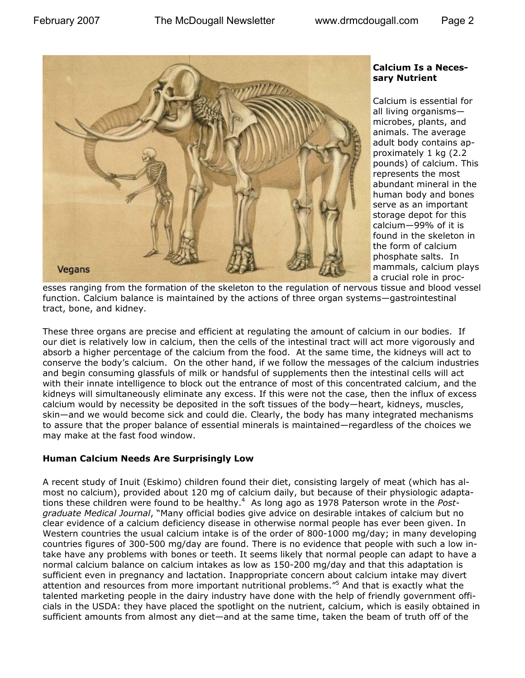

#### **Calcium Is a Necessary Nutrient**

Calcium is essential for all living organisms microbes, plants, and animals. The average adult body contains approximately 1 kg (2.2 pounds) of calcium. This represents the most abundant mineral in the human body and bones serve as an important storage depot for this calcium—99% of it is found in the skeleton in the form of calcium phosphate salts. In mammals, calcium plays a crucial role in proc-

esses ranging from the formation of the skeleton to the regulation of nervous tissue and blood vessel function. Calcium balance is maintained by the actions of three organ systems—gastrointestinal tract, bone, and kidney.

These three organs are precise and efficient at regulating the amount of calcium in our bodies. If our diet is relatively low in calcium, then the cells of the intestinal tract will act more vigorously and absorb a higher percentage of the calcium from the food. At the same time, the kidneys will act to conserve the body's calcium. On the other hand, if we follow the messages of the calcium industries and begin consuming glassfuls of milk or handsful of supplements then the intestinal cells will act with their innate intelligence to block out the entrance of most of this concentrated calcium, and the kidneys will simultaneously eliminate any excess. If this were not the case, then the influx of excess calcium would by necessity be deposited in the soft tissues of the body—heart, kidneys, muscles, skin—and we would become sick and could die. Clearly, the body has many integrated mechanisms to assure that the proper balance of essential minerals is maintained—regardless of the choices we may make at the fast food window.

#### **Human Calcium Needs Are Surprisingly Low**

A recent study of Inuit (Eskimo) children found their diet, consisting largely of meat (which has almost no calcium), provided about 120 mg of calcium daily, but because of their physiologic adaptations these children were found to be healthy.<sup>4</sup> As long ago as 1978 Paterson wrote in the Post*graduate Medical Journal*, "Many official bodies give advice on desirable intakes of calcium but no clear evidence of a calcium deficiency disease in otherwise normal people has ever been given. In Western countries the usual calcium intake is of the order of 800-1000 mg/day; in many developing countries figures of 300-500 mg/day are found. There is no evidence that people with such a low intake have any problems with bones or teeth. It seems likely that normal people can adapt to have a normal calcium balance on calcium intakes as low as 150-200 mg/day and that this adaptation is sufficient even in pregnancy and lactation. Inappropriate concern about calcium intake may divert attention and resources from more important nutritional problems."<sup>5</sup> And that is exactly what the talented marketing people in the dairy industry have done with the help of friendly government officials in the USDA: they have placed the spotlight on the nutrient, calcium, which is easily obtained in sufficient amounts from almost any diet—and at the same time, taken the beam of truth off of the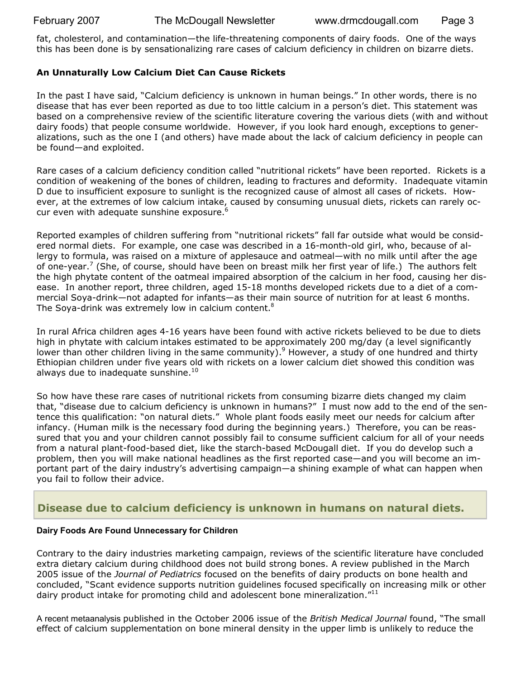February 2007 The McDougall Newsletter www.drmcdougall.com Page 3

fat, cholesterol, and contamination—the life-threatening components of dairy foods. One of the ways this has been done is by sensationalizing rare cases of calcium deficiency in children on bizarre diets.

#### **An Unnaturally Low Calcium Diet Can Cause Rickets**

In the past I have said, "Calcium deficiency is unknown in human beings." In other words, there is no disease that has ever been reported as due to too little calcium in a person's diet. This statement was based on a comprehensive review of the scientific literature covering the various diets (with and without dairy foods) that people consume worldwide. However, if you look hard enough, exceptions to generalizations, such as the one I (and others) have made about the lack of calcium deficiency in people can be found—and exploited.

Rare cases of a calcium deficiency condition called "nutritional rickets" have been reported. Rickets is a condition of weakening of the bones of children, leading to fractures and deformity. Inadequate vitamin D due to insufficient exposure to sunlight is the recognized cause of almost all cases of rickets. However, at the extremes of low calcium intake, caused by consuming unusual diets, rickets can rarely occur even with adequate sunshine exposure.<sup>6</sup>

Reported examples of children suffering from "nutritional rickets" fall far outside what would be considered normal diets. For example, one case was described in a 16-month-old girl, who, because of allergy to formula, was raised on a mixture of applesauce and oatmeal—with no milk until after the age of one-year.<sup>7</sup> (She, of course, should have been on breast milk her first year of life.) The authors felt the high phytate content of the oatmeal impaired absorption of the calcium in her food, causing her disease. In another report, three children, aged 15-18 months developed rickets due to a diet of a commercial Soya-drink—not adapted for infants—as their main source of nutrition for at least 6 months. The Soya-drink was extremely low in calcium content.<sup>8</sup>

In rural Africa children ages 4-16 years have been found with active rickets believed to be due to diets high in phytate with calcium intakes estimated to be approximately 200 mg/day (a level significantly lower than other children living in the same community).<sup>9</sup> However, a study of one hundred and thirty Ethiopian children under five years old with rickets on a lower calcium diet showed this condition was always due to inadequate sunshine.<sup>10</sup>

So how have these rare cases of nutritional rickets from consuming bizarre diets changed my claim that, "disease due to calcium deficiency is unknown in humans?" I must now add to the end of the sentence this qualification: "on natural diets." Whole plant foods easily meet our needs for calcium after infancy. (Human milk is the necessary food during the beginning years.) Therefore, you can be reassured that you and your children cannot possibly fail to consume sufficient calcium for all of your needs from a natural plant-food-based diet, like the starch-based McDougall diet. If you do develop such a problem, then you will make national headlines as the first reported case—and you will become an important part of the dairy industry's advertising campaign—a shining example of what can happen when you fail to follow their advice.

## **Disease due to calcium deficiency is unknown in humans on natural diets.**

#### **Dairy Foods Are Found Unnecessary for Children**

Contrary to the dairy industries marketing campaign, reviews of the scientific literature have concluded extra dietary calcium during childhood does not build strong bones. A review published in the March 2005 issue of the *Journal of Pediatrics* focused on the benefits of dairy products on bone health and concluded, "Scant evidence supports nutrition guidelines focused specifically on increasing milk or other dairy product intake for promoting child and adolescent bone mineralization. $"^{11}$ 

A recent metaanalysis published in the October 2006 issue of the *British Medical Journal* found, "The small effect of calcium supplementation on bone mineral density in the upper limb is unlikely to reduce the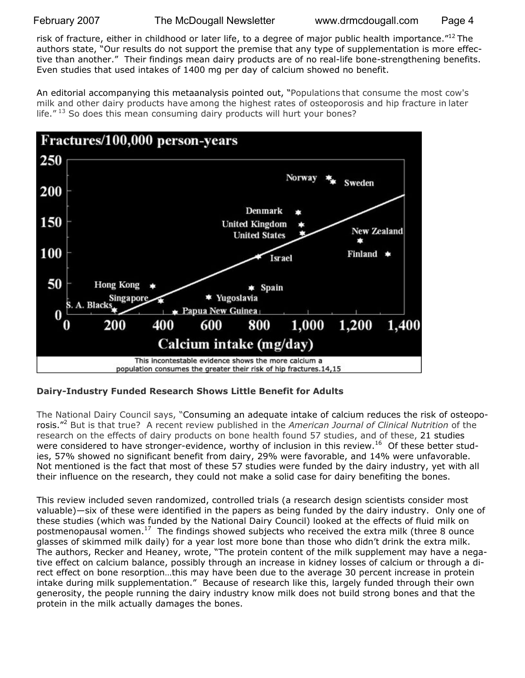February 2007 **The McDougall Newsletter** www.drmcdougall.com Page 4

risk of fracture, either in childhood or later life, to a degree of major public health importance."<sup>12</sup> The authors state, "Our results do not support the premise that any type of supplementation is more effective than another." Their findings mean dairy products are of no real-life bone-strengthening benefits. Even studies that used intakes of 1400 mg per day of calcium showed no benefit.

An editorial accompanying this metaanalysis pointed out, "Populations that consume the most cow's milk and other dairy products have among the highest rates of osteoporosis and hip fracture in later life. $''^{13}$  So does this mean consuming dairy products will hurt your bones?



#### **Dairy-Industry Funded Research Shows Little Benefit for Adults**

The National Dairy Council says, "Consuming an adequate intake of calcium reduces the risk of osteoporosis."2 But is that true? A recent review published in the *American Journal of Clinical Nutrition* of the research on the effects of dairy products on bone health found 57 studies, and of these, 21 studies were considered to have stronger-evidence, worthy of inclusion in this review.<sup>16</sup> Of these better studies, 57% showed no significant benefit from dairy, 29% were favorable, and 14% were unfavorable. Not mentioned is the fact that most of these 57 studies were funded by the dairy industry, yet with all their influence on the research, they could not make a solid case for dairy benefiting the bones.

This review included seven randomized, controlled trials (a research design scientists consider most valuable)—six of these were identified in the papers as being funded by the dairy industry. Only one of these studies (which was funded by the National Dairy Council) looked at the effects of fluid milk on postmenopausal women.17 The findings showed subjects who received the extra milk (three 8 ounce glasses of skimmed milk daily) for a year lost more bone than those who didn't drink the extra milk. The authors, Recker and Heaney, wrote, "The protein content of the milk supplement may have a negative effect on calcium balance, possibly through an increase in kidney losses of calcium or through a direct effect on bone resorption…this may have been due to the average 30 percent increase in protein intake during milk supplementation." Because of research like this, largely funded through their own generosity, the people running the dairy industry know milk does not build strong bones and that the protein in the milk actually damages the bones.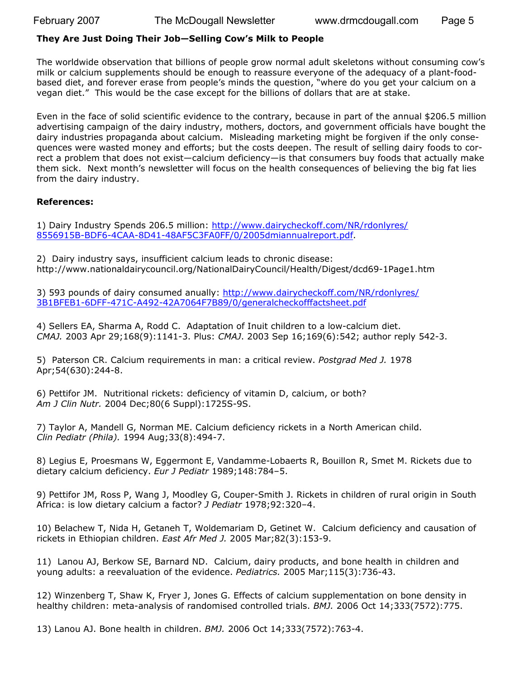## **They Are Just Doing Their Job—Selling Cow's Milk to People**

The worldwide observation that billions of people grow normal adult skeletons without consuming cow's milk or calcium supplements should be enough to reassure everyone of the adequacy of a plant-foodbased diet, and forever erase from people's minds the question, "where do you get your calcium on a vegan diet." This would be the case except for the billions of dollars that are at stake.

Even in the face of solid scientific evidence to the contrary, because in part of the annual \$206.5 million advertising campaign of the dairy industry, mothers, doctors, and government officials have bought the dairy industries propaganda about calcium. Misleading marketing might be forgiven if the only consequences were wasted money and efforts; but the costs deepen. The result of selling dairy foods to correct a problem that does not exist—calcium deficiency—is that consumers buy foods that actually make them sick. Next month's newsletter will focus on the health consequences of believing the big fat lies from the dairy industry.

#### **References:**

1) Dairy Industry Spends 206.5 million: http://www.dairycheckoff.com/NR/rdonlyres/ 8556915B-BDF6-4CAA-8D41-48AF5C3FA0FF/0/2005dmiannualreport.pdf.

2) Dairy industry says, insufficient calcium leads to chronic disease: http://www.nationaldairycouncil.org/NationalDairyCouncil/Health/Digest/dcd69-1Page1.htm

3) 593 pounds of dairy consumed anually: http://www.dairycheckoff.com/NR/rdonlyres/ 3B1BFEB1-6DFF-471C-A492-42A7064F7B89/0/generalcheckofffactsheet.pdf

4) Sellers EA, Sharma A, Rodd C. Adaptation of Inuit children to a low-calcium diet. *CMAJ.* 2003 Apr 29;168(9):1141-3. Plus: *CMAJ*. 2003 Sep 16;169(6):542; author reply 542-3.

5) Paterson CR. Calcium requirements in man: a critical review. *Postgrad Med J.* 1978 Apr;54(630):244-8.

6) Pettifor JM. Nutritional rickets: deficiency of vitamin D, calcium, or both? *Am J Clin Nutr.* 2004 Dec;80(6 Suppl):1725S-9S.

7) Taylor A, Mandell G, Norman ME. Calcium deficiency rickets in a North American child. *Clin Pediatr (Phila).* 1994 Aug;33(8):494-7.

8) Legius E, Proesmans W, Eggermont E, Vandamme-Lobaerts R, Bouillon R, Smet M. Rickets due to dietary calcium deficiency. *Eur J Pediatr* 1989;148:784–5.

9) Pettifor JM, Ross P, Wang J, Moodley G, Couper-Smith J. Rickets in children of rural origin in South Africa: is low dietary calcium a factor? *J Pediatr* 1978;92:320–4.

10) Belachew T, Nida H, Getaneh T, Woldemariam D, Getinet W. Calcium deficiency and causation of rickets in Ethiopian children. *East Afr Med J.* 2005 Mar;82(3):153-9.

11) Lanou AJ, Berkow SE, Barnard ND. Calcium, dairy products, and bone health in children and young adults: a reevaluation of the evidence. *Pediatrics.* 2005 Mar;115(3):736-43.

12) Winzenberg T, Shaw K, Fryer J, Jones G. Effects of calcium supplementation on bone density in healthy children: meta-analysis of randomised controlled trials. *BMJ.* 2006 Oct 14;333(7572):775.

13) Lanou AJ. Bone health in children. *BMJ.* 2006 Oct 14;333(7572):763-4.